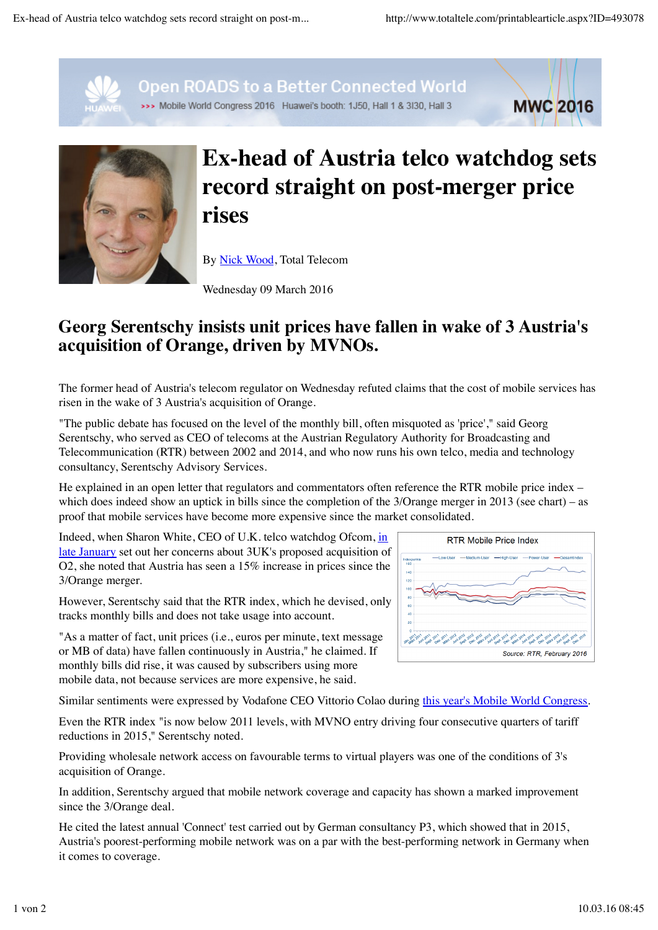**MWC 2016** 



**Open ROADS to a Better Connected World** 

>>> Mobile World Congress 2016 Huawei's booth: 1J50, Hall 1 & 3I30, Hall 3



## **Ex-head of Austria telco watchdog sets record straight on post-merger price rises**

By Nick Wood, Total Telecom

Wednesday 09 March 2016

## **Georg Serentschy insists unit prices have fallen in wake of 3 Austria's acquisition of Orange, driven by MVNOs.**

The former head of Austria's telecom regulator on Wednesday refuted claims that the cost of mobile services has risen in the wake of 3 Austria's acquisition of Orange.

"The public debate has focused on the level of the monthly bill, often misquoted as 'price'," said Georg Serentschy, who served as CEO of telecoms at the Austrian Regulatory Authority for Broadcasting and Telecommunication (RTR) between 2002 and 2014, and who now runs his own telco, media and technology consultancy, Serentschy Advisory Services.

He explained in an open letter that regulators and commentators often reference the RTR mobile price index – which does indeed show an uptick in bills since the completion of the 3/Orange merger in 2013 (see chart) – as proof that mobile services have become more expensive since the market consolidated.

Indeed, when Sharon White, CEO of U.K. telco watchdog Ofcom, in late January set out her concerns about 3UK's proposed acquisition of O2, she noted that Austria has seen a 15% increase in prices since the 3/Orange merger.

However, Serentschy said that the RTR index, which he devised, only tracks monthly bills and does not take usage into account.

"As a matter of fact, unit prices (i.e., euros per minute, text message or MB of data) have fallen continuously in Austria," he claimed. If monthly bills did rise, it was caused by subscribers using more mobile data, not because services are more expensive, he said.

Similar sentiments were expressed by Vodafone CEO Vittorio Colao during this year's Mobile World Congress.

Even the RTR index "is now below 2011 levels, with MVNO entry driving four consecutive quarters of tariff reductions in 2015," Serentschy noted.

Providing wholesale network access on favourable terms to virtual players was one of the conditions of 3's acquisition of Orange.

In addition, Serentschy argued that mobile network coverage and capacity has shown a marked improvement since the 3/Orange deal.

He cited the latest annual 'Connect' test carried out by German consultancy P3, which showed that in 2015, Austria's poorest-performing mobile network was on a par with the best-performing network in Germany when it comes to coverage.